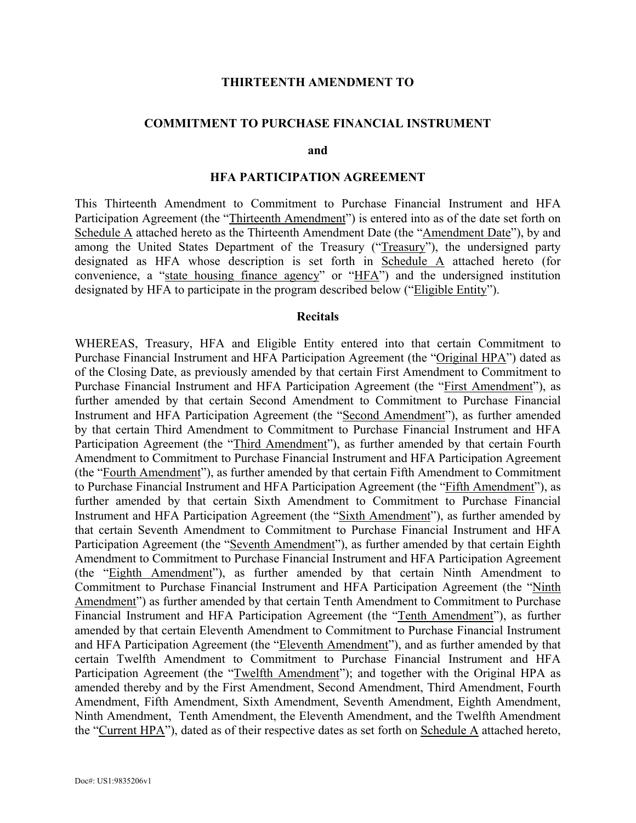#### **THIRTEENTH AMENDMENT TO**

#### **COMMITMENT TO PURCHASE FINANCIAL INSTRUMENT**

**and** 

#### **HFA PARTICIPATION AGREEMENT**

This Thirteenth Amendment to Commitment to Purchase Financial Instrument and HFA Participation Agreement (the "Thirteenth Amendment") is entered into as of the date set forth on Schedule A attached hereto as the Thirteenth Amendment Date (the "Amendment Date"), by and among the United States Department of the Treasury ("Treasury"), the undersigned party designated as HFA whose description is set forth in Schedule A attached hereto (for convenience, a "state housing finance agency" or "HFA") and the undersigned institution designated by HFA to participate in the program described below ("Eligible Entity").

#### **Recitals**

WHEREAS, Treasury, HFA and Eligible Entity entered into that certain Commitment to Purchase Financial Instrument and HFA Participation Agreement (the "Original HPA") dated as of the Closing Date, as previously amended by that certain First Amendment to Commitment to Purchase Financial Instrument and HFA Participation Agreement (the "First Amendment"), as further amended by that certain Second Amendment to Commitment to Purchase Financial Instrument and HFA Participation Agreement (the "Second Amendment"), as further amended by that certain Third Amendment to Commitment to Purchase Financial Instrument and HFA Participation Agreement (the "Third Amendment"), as further amended by that certain Fourth Amendment to Commitment to Purchase Financial Instrument and HFA Participation Agreement (the "Fourth Amendment"), as further amended by that certain Fifth Amendment to Commitment to Purchase Financial Instrument and HFA Participation Agreement (the "Fifth Amendment"), as further amended by that certain Sixth Amendment to Commitment to Purchase Financial Instrument and HFA Participation Agreement (the "Sixth Amendment"), as further amended by that certain Seventh Amendment to Commitment to Purchase Financial Instrument and HFA Participation Agreement (the "Seventh Amendment"), as further amended by that certain Eighth Amendment to Commitment to Purchase Financial Instrument and HFA Participation Agreement (the "Eighth Amendment"), as further amended by that certain Ninth Amendment to Commitment to Purchase Financial Instrument and HFA Participation Agreement (the "Ninth Amendment") as further amended by that certain Tenth Amendment to Commitment to Purchase Financial Instrument and HFA Participation Agreement (the "Tenth Amendment"), as further amended by that certain Eleventh Amendment to Commitment to Purchase Financial Instrument and HFA Participation Agreement (the "Eleventh Amendment"), and as further amended by that certain Twelfth Amendment to Commitment to Purchase Financial Instrument and HFA Participation Agreement (the "Twelfth Amendment"); and together with the Original HPA as amended thereby and by the First Amendment, Second Amendment, Third Amendment, Fourth Amendment, Fifth Amendment, Sixth Amendment, Seventh Amendment, Eighth Amendment, Ninth Amendment, Tenth Amendment, the Eleventh Amendment, and the Twelfth Amendment the "Current HPA"), dated as of their respective dates as set forth on Schedule A attached hereto,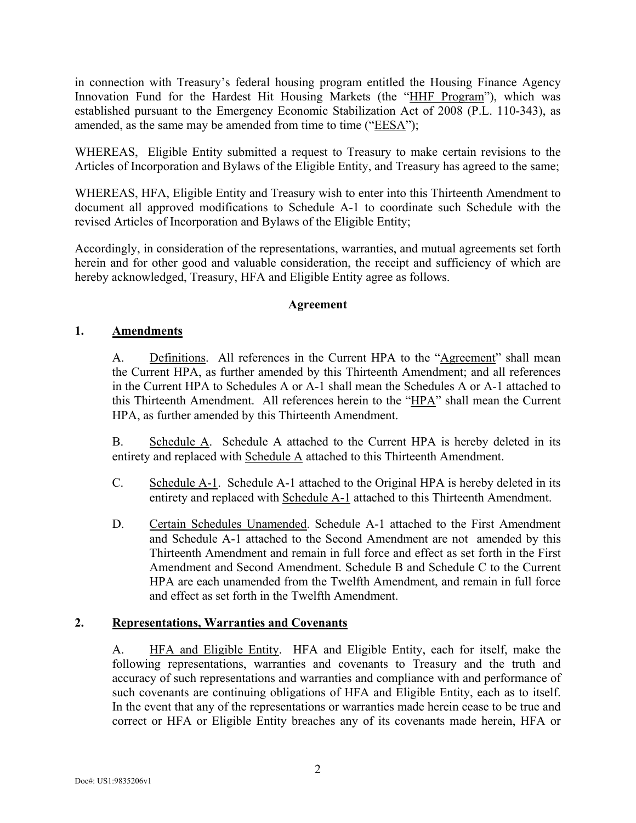in connection with Treasury's federal housing program entitled the Housing Finance Agency Innovation Fund for the Hardest Hit Housing Markets (the "HHF Program"), which was established pursuant to the Emergency Economic Stabilization Act of 2008 (P.L. 110-343), as amended, as the same may be amended from time to time ("EESA");

WHEREAS, Eligible Entity submitted a request to Treasury to make certain revisions to the Articles of Incorporation and Bylaws of the Eligible Entity, and Treasury has agreed to the same;

WHEREAS, HFA, Eligible Entity and Treasury wish to enter into this Thirteenth Amendment to document all approved modifications to Schedule A-1 to coordinate such Schedule with the revised Articles of Incorporation and Bylaws of the Eligible Entity;

Accordingly, in consideration of the representations, warranties, and mutual agreements set forth herein and for other good and valuable consideration, the receipt and sufficiency of which are hereby acknowledged, Treasury, HFA and Eligible Entity agree as follows.

## **Agreement**

## **1. Amendments**

A. Definitions. All references in the Current HPA to the "Agreement" shall mean the Current HPA, as further amended by this Thirteenth Amendment; and all references in the Current HPA to Schedules A or A-1 shall mean the Schedules A or A-1 attached to this Thirteenth Amendment. All references herein to the "HPA" shall mean the Current HPA, as further amended by this Thirteenth Amendment.

B. Schedule A. Schedule A attached to the Current HPA is hereby deleted in its entirety and replaced with Schedule A attached to this Thirteenth Amendment.

- C. Schedule A-1. Schedule A-1 attached to the Original HPA is hereby deleted in its entirety and replaced with Schedule A-1 attached to this Thirteenth Amendment.
- D. Certain Schedules Unamended. Schedule A-1 attached to the First Amendment and Schedule A-1 attached to the Second Amendment are not amended by this Thirteenth Amendment and remain in full force and effect as set forth in the First Amendment and Second Amendment. Schedule B and Schedule C to the Current HPA are each unamended from the Twelfth Amendment, and remain in full force and effect as set forth in the Twelfth Amendment.

## **2. Representations, Warranties and Covenants**

A. HFA and Eligible Entity. HFA and Eligible Entity, each for itself, make the following representations, warranties and covenants to Treasury and the truth and accuracy of such representations and warranties and compliance with and performance of such covenants are continuing obligations of HFA and Eligible Entity, each as to itself. In the event that any of the representations or warranties made herein cease to be true and correct or HFA or Eligible Entity breaches any of its covenants made herein, HFA or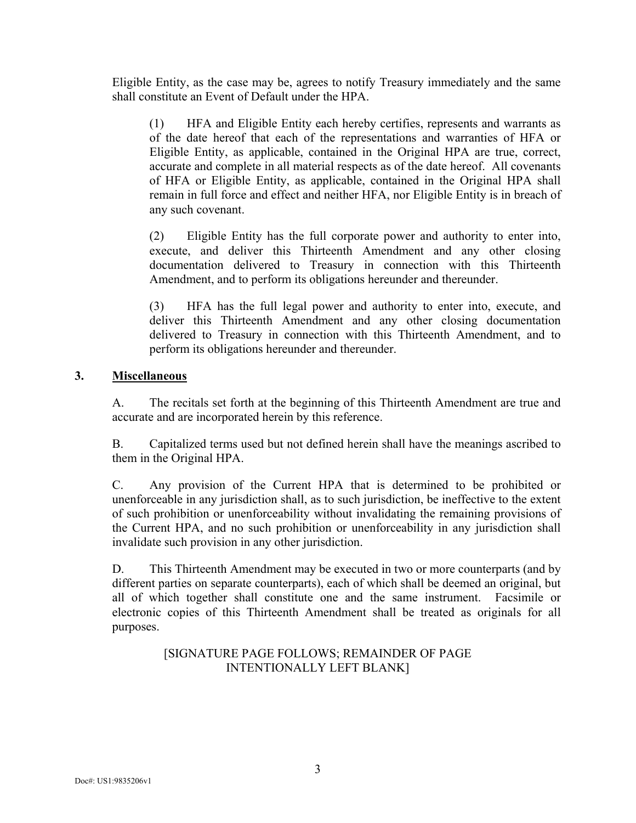Eligible Entity, as the case may be, agrees to notify Treasury immediately and the same shall constitute an Event of Default under the HPA.

(1) HFA and Eligible Entity each hereby certifies, represents and warrants as of the date hereof that each of the representations and warranties of HFA or Eligible Entity, as applicable, contained in the Original HPA are true, correct, accurate and complete in all material respects as of the date hereof. All covenants of HFA or Eligible Entity, as applicable, contained in the Original HPA shall remain in full force and effect and neither HFA, nor Eligible Entity is in breach of any such covenant.

(2) Eligible Entity has the full corporate power and authority to enter into, execute, and deliver this Thirteenth Amendment and any other closing documentation delivered to Treasury in connection with this Thirteenth Amendment, and to perform its obligations hereunder and thereunder.

(3) HFA has the full legal power and authority to enter into, execute, and deliver this Thirteenth Amendment and any other closing documentation delivered to Treasury in connection with this Thirteenth Amendment, and to perform its obligations hereunder and thereunder.

# **3. Miscellaneous**

A. The recitals set forth at the beginning of this Thirteenth Amendment are true and accurate and are incorporated herein by this reference.

B. Capitalized terms used but not defined herein shall have the meanings ascribed to them in the Original HPA.

C. Any provision of the Current HPA that is determined to be prohibited or unenforceable in any jurisdiction shall, as to such jurisdiction, be ineffective to the extent of such prohibition or unenforceability without invalidating the remaining provisions of the Current HPA, and no such prohibition or unenforceability in any jurisdiction shall invalidate such provision in any other jurisdiction.

D. This Thirteenth Amendment may be executed in two or more counterparts (and by different parties on separate counterparts), each of which shall be deemed an original, but all of which together shall constitute one and the same instrument. Facsimile or electronic copies of this Thirteenth Amendment shall be treated as originals for all purposes.

> [SIGNATURE PAGE FOLLOWS; REMAINDER OF PAGE INTENTIONALLY LEFT BLANK]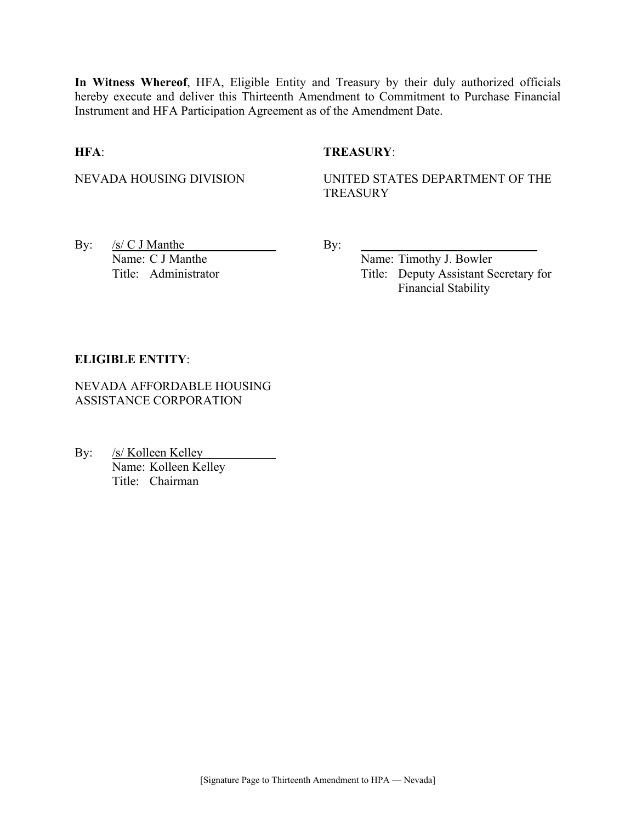**In Witness Whereof**, HFA, Eligible Entity and Treasury by their duly authorized officials hereby execute and deliver this Thirteenth Amendment to Commitment to Purchase Financial Instrument and HFA Participation Agreement as of the Amendment Date.

## **HFA**: **TREASURY**:

NEVADA HOUSING DIVISION UNITED STATES DEPARTMENT OF THE **TREASURY** 

By:  $/s/C J$  Manthe By: Name: C J Manthe Name: Timothy J. Bowler

Title: Administrator Title: Deputy Assistant Secretary for Financial Stability

## **ELIGIBLE ENTITY**:

NEVADA AFFORDABLE HOUSING ASSISTANCE CORPORATION

By: /s/ Kolleen Kelley Name: Kolleen Kelley Title: Chairman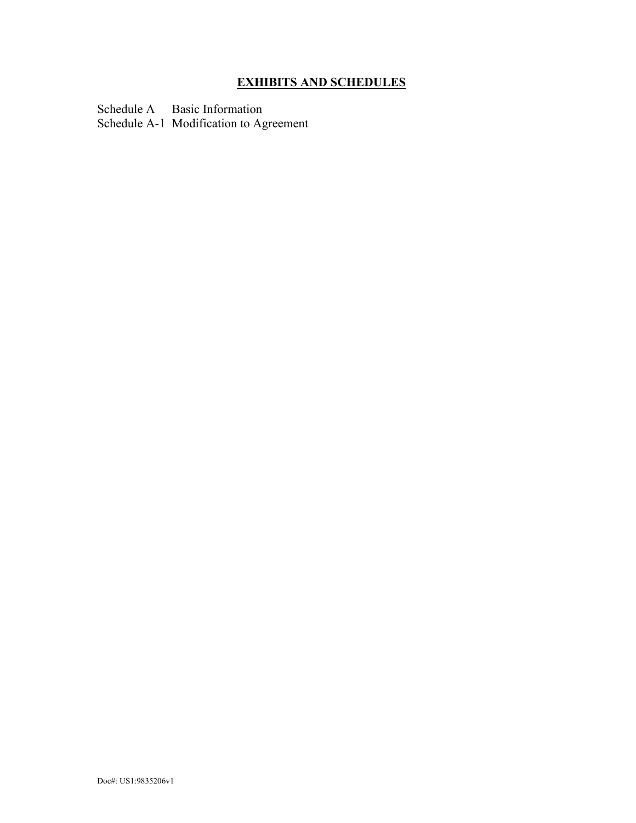# **EXHIBITS AND SCHEDULES**

Schedule A Basic Information Schedule A-1 Modification to Agreement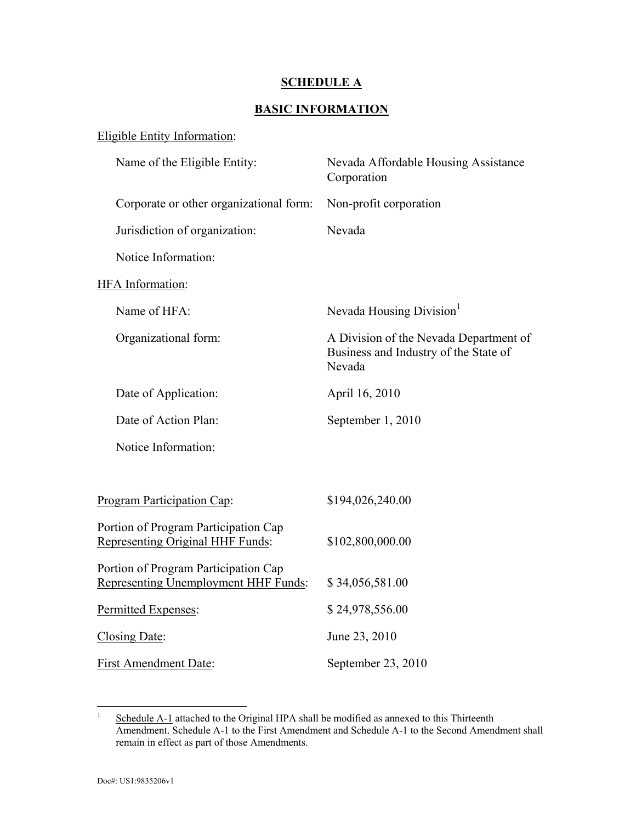## **SCHEDULE A**

# **BASIC INFORMATION**

| <b>Eligible Entity Information:</b>                                          |                                                                                           |
|------------------------------------------------------------------------------|-------------------------------------------------------------------------------------------|
| Name of the Eligible Entity:                                                 | Nevada Affordable Housing Assistance<br>Corporation                                       |
| Corporate or other organizational form:                                      | Non-profit corporation                                                                    |
| Jurisdiction of organization:                                                | Nevada                                                                                    |
| Notice Information:                                                          |                                                                                           |
| HFA Information:                                                             |                                                                                           |
| Name of HFA:                                                                 | Nevada Housing Division <sup>1</sup>                                                      |
| Organizational form:                                                         | A Division of the Nevada Department of<br>Business and Industry of the State of<br>Nevada |
| Date of Application:                                                         | April 16, 2010                                                                            |
| Date of Action Plan:                                                         | September 1, 2010                                                                         |
| Notice Information:                                                          |                                                                                           |
|                                                                              |                                                                                           |
| Program Participation Cap:                                                   | \$194,026,240.00                                                                          |
| Portion of Program Participation Cap<br>Representing Original HHF Funds:     | \$102,800,000.00                                                                          |
| Portion of Program Participation Cap<br>Representing Unemployment HHF Funds: | \$34,056,581.00                                                                           |
| Permitted Expenses:                                                          | \$24,978,556.00                                                                           |
| Closing Date:                                                                | June 23, 2010                                                                             |
| <b>First Amendment Date:</b>                                                 | September 23, 2010                                                                        |

 $\frac{1}{1}$  Schedule A-1 attached to the Original HPA shall be modified as annexed to this Thirteenth Amendment. Schedule A-1 to the First Amendment and Schedule A-1 to the Second Amendment shall remain in effect as part of those Amendments.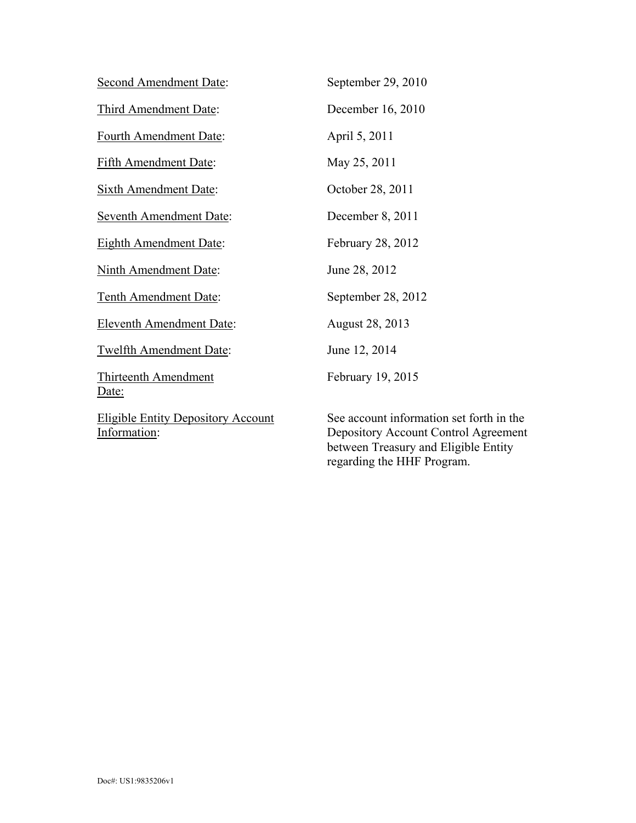| <b>Second Amendment Date:</b>                             | September 29, 2010                                                                                                       |
|-----------------------------------------------------------|--------------------------------------------------------------------------------------------------------------------------|
| Third Amendment Date:                                     | December 16, 2010                                                                                                        |
| Fourth Amendment Date:                                    | April 5, 2011                                                                                                            |
| <b>Fifth Amendment Date:</b>                              | May 25, 2011                                                                                                             |
| <b>Sixth Amendment Date:</b>                              | October 28, 2011                                                                                                         |
| <b>Seventh Amendment Date:</b>                            | December 8, 2011                                                                                                         |
| <b>Eighth Amendment Date:</b>                             | February 28, 2012                                                                                                        |
| <b>Ninth Amendment Date:</b>                              | June 28, 2012                                                                                                            |
| Tenth Amendment Date:                                     | September 28, 2012                                                                                                       |
| <b>Eleventh Amendment Date:</b>                           | August 28, 2013                                                                                                          |
| <b>Twelfth Amendment Date:</b>                            | June 12, 2014                                                                                                            |
| Thirteenth Amendment<br>Date:                             | February 19, 2015                                                                                                        |
| <b>Eligible Entity Depository Account</b><br>Information: | See account information set forth in the<br>Depository Account Control Agreement<br>between Treasury and Eligible Entity |

regarding the HHF Program.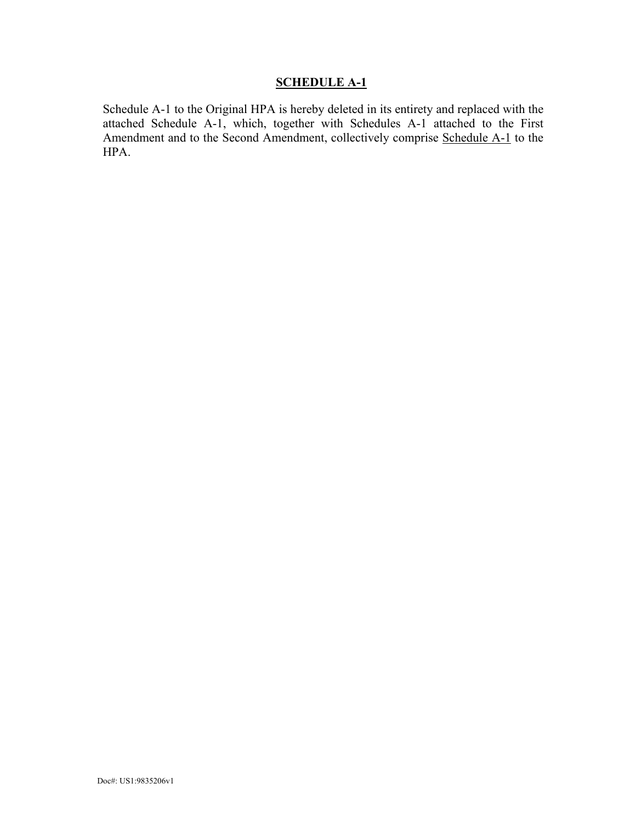# **SCHEDULE A-1**

Schedule A-1 to the Original HPA is hereby deleted in its entirety and replaced with the attached Schedule A-1, which, together with Schedules A-1 attached to the First Amendment and to the Second Amendment, collectively comprise Schedule A-1 to the HPA.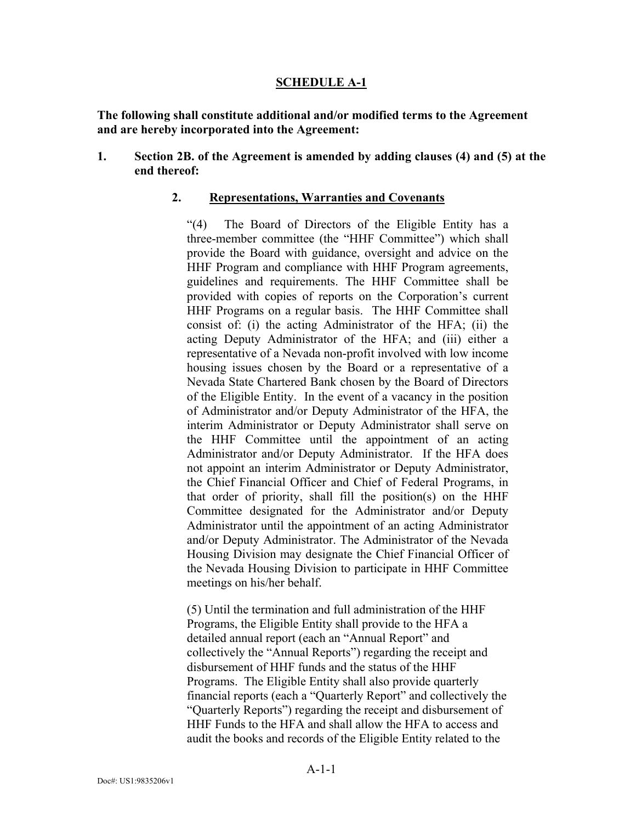## **SCHEDULE A-1**

**The following shall constitute additional and/or modified terms to the Agreement and are hereby incorporated into the Agreement:** 

**1. Section 2B. of the Agreement is amended by adding clauses (4) and (5) at the end thereof:** 

## **2. Representations, Warranties and Covenants**

"(4) The Board of Directors of the Eligible Entity has a three-member committee (the "HHF Committee") which shall provide the Board with guidance, oversight and advice on the HHF Program and compliance with HHF Program agreements, guidelines and requirements. The HHF Committee shall be provided with copies of reports on the Corporation's current HHF Programs on a regular basis. The HHF Committee shall consist of: (i) the acting Administrator of the HFA; (ii) the acting Deputy Administrator of the HFA; and (iii) either a representative of a Nevada non-profit involved with low income housing issues chosen by the Board or a representative of a Nevada State Chartered Bank chosen by the Board of Directors of the Eligible Entity. In the event of a vacancy in the position of Administrator and/or Deputy Administrator of the HFA, the interim Administrator or Deputy Administrator shall serve on the HHF Committee until the appointment of an acting Administrator and/or Deputy Administrator. If the HFA does not appoint an interim Administrator or Deputy Administrator, the Chief Financial Officer and Chief of Federal Programs, in that order of priority, shall fill the position(s) on the HHF Committee designated for the Administrator and/or Deputy Administrator until the appointment of an acting Administrator and/or Deputy Administrator. The Administrator of the Nevada Housing Division may designate the Chief Financial Officer of the Nevada Housing Division to participate in HHF Committee meetings on his/her behalf.

(5) Until the termination and full administration of the HHF Programs, the Eligible Entity shall provide to the HFA a detailed annual report (each an "Annual Report" and collectively the "Annual Reports") regarding the receipt and disbursement of HHF funds and the status of the HHF Programs. The Eligible Entity shall also provide quarterly financial reports (each a "Quarterly Report" and collectively the "Quarterly Reports") regarding the receipt and disbursement of HHF Funds to the HFA and shall allow the HFA to access and audit the books and records of the Eligible Entity related to the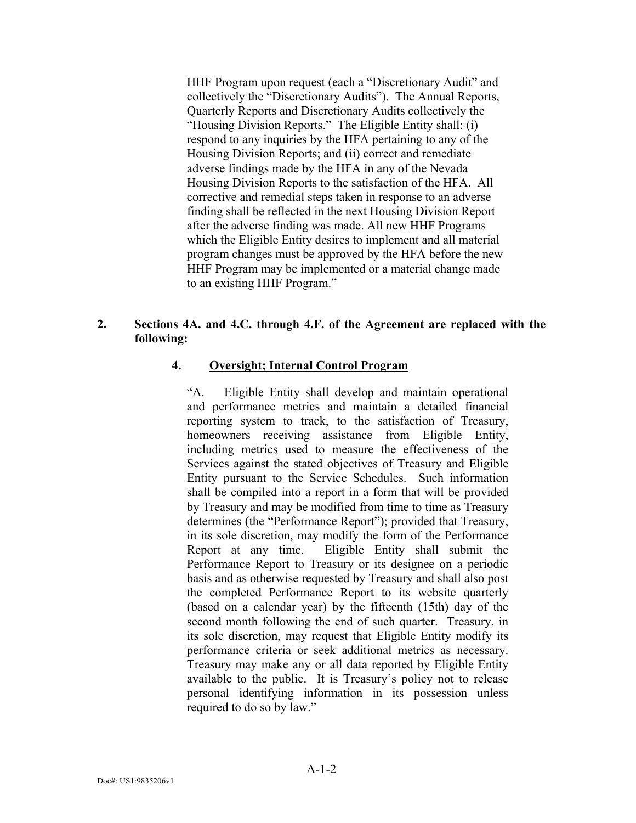HHF Program upon request (each a "Discretionary Audit" and collectively the "Discretionary Audits"). The Annual Reports, Quarterly Reports and Discretionary Audits collectively the "Housing Division Reports." The Eligible Entity shall: (i) respond to any inquiries by the HFA pertaining to any of the Housing Division Reports; and (ii) correct and remediate adverse findings made by the HFA in any of the Nevada Housing Division Reports to the satisfaction of the HFA. All corrective and remedial steps taken in response to an adverse finding shall be reflected in the next Housing Division Report after the adverse finding was made. All new HHF Programs which the Eligible Entity desires to implement and all material program changes must be approved by the HFA before the new HHF Program may be implemented or a material change made to an existing HHF Program."

## **2. Sections 4A. and 4.C. through 4.F. of the Agreement are replaced with the following:**

### **4. Oversight; Internal Control Program**

"A. Eligible Entity shall develop and maintain operational and performance metrics and maintain a detailed financial reporting system to track, to the satisfaction of Treasury, homeowners receiving assistance from Eligible Entity, including metrics used to measure the effectiveness of the Services against the stated objectives of Treasury and Eligible Entity pursuant to the Service Schedules. Such information shall be compiled into a report in a form that will be provided by Treasury and may be modified from time to time as Treasury determines (the "Performance Report"); provided that Treasury, in its sole discretion, may modify the form of the Performance Report at any time. Eligible Entity shall submit the Performance Report to Treasury or its designee on a periodic basis and as otherwise requested by Treasury and shall also post the completed Performance Report to its website quarterly (based on a calendar year) by the fifteenth (15th) day of the second month following the end of such quarter. Treasury, in its sole discretion, may request that Eligible Entity modify its performance criteria or seek additional metrics as necessary. Treasury may make any or all data reported by Eligible Entity available to the public. It is Treasury's policy not to release personal identifying information in its possession unless required to do so by law."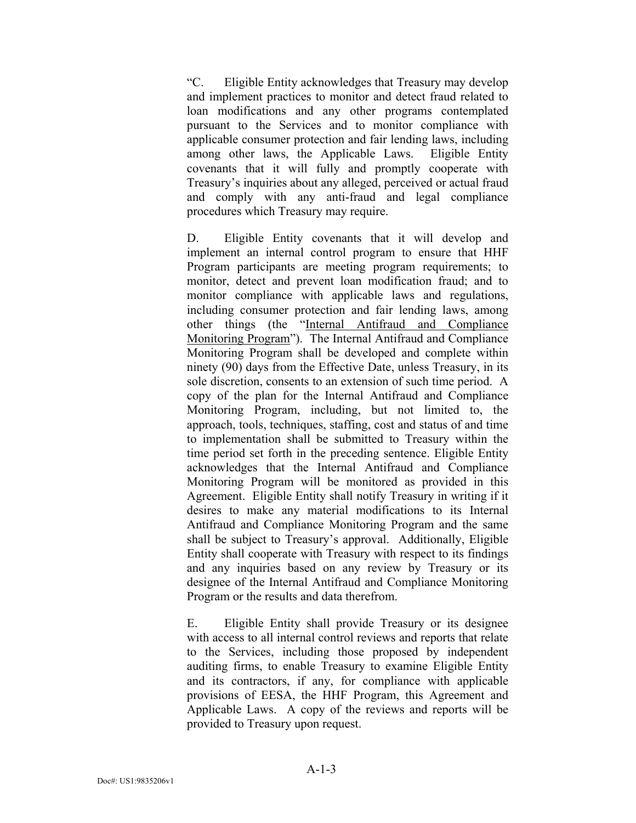"C. Eligible Entity acknowledges that Treasury may develop and implement practices to monitor and detect fraud related to loan modifications and any other programs contemplated pursuant to the Services and to monitor compliance with applicable consumer protection and fair lending laws, including among other laws, the Applicable Laws. Eligible Entity covenants that it will fully and promptly cooperate with Treasury's inquiries about any alleged, perceived or actual fraud and comply with any anti-fraud and legal compliance procedures which Treasury may require.

D. Eligible Entity covenants that it will develop and implement an internal control program to ensure that HHF Program participants are meeting program requirements; to monitor, detect and prevent loan modification fraud; and to monitor compliance with applicable laws and regulations, including consumer protection and fair lending laws, among other things (the "Internal Antifraud and Compliance Monitoring Program"). The Internal Antifraud and Compliance Monitoring Program shall be developed and complete within ninety (90) days from the Effective Date, unless Treasury, in its sole discretion, consents to an extension of such time period. A copy of the plan for the Internal Antifraud and Compliance Monitoring Program, including, but not limited to, the approach, tools, techniques, staffing, cost and status of and time to implementation shall be submitted to Treasury within the time period set forth in the preceding sentence. Eligible Entity acknowledges that the Internal Antifraud and Compliance Monitoring Program will be monitored as provided in this Agreement. Eligible Entity shall notify Treasury in writing if it desires to make any material modifications to its Internal Antifraud and Compliance Monitoring Program and the same shall be subject to Treasury's approval. Additionally, Eligible Entity shall cooperate with Treasury with respect to its findings and any inquiries based on any review by Treasury or its designee of the Internal Antifraud and Compliance Monitoring Program or the results and data therefrom.

E. Eligible Entity shall provide Treasury or its designee with access to all internal control reviews and reports that relate to the Services, including those proposed by independent auditing firms, to enable Treasury to examine Eligible Entity and its contractors, if any, for compliance with applicable provisions of EESA, the HHF Program, this Agreement and Applicable Laws. A copy of the reviews and reports will be provided to Treasury upon request.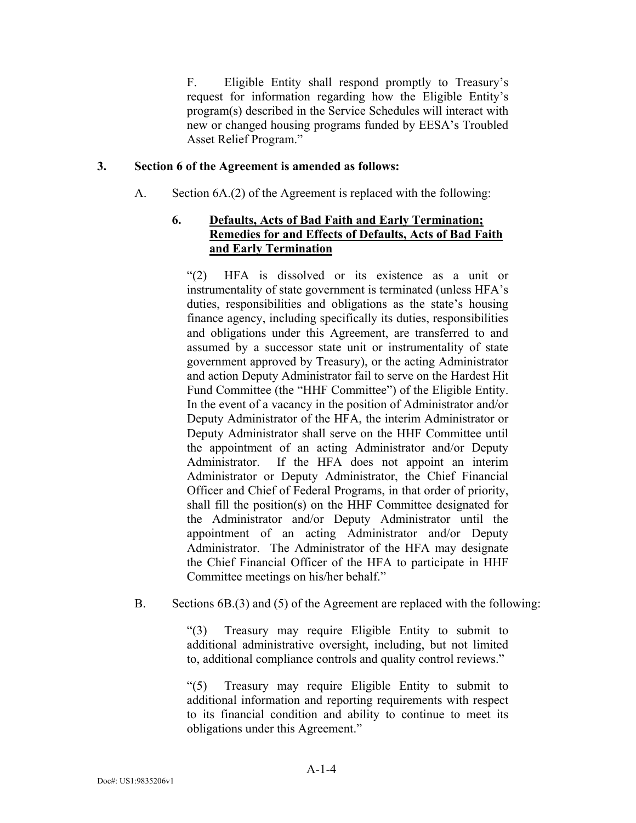F. Eligible Entity shall respond promptly to Treasury's request for information regarding how the Eligible Entity's program(s) described in the Service Schedules will interact with new or changed housing programs funded by EESA's Troubled Asset Relief Program."

## **3. Section 6 of the Agreement is amended as follows:**

A. Section 6A.(2) of the Agreement is replaced with the following:

## **6. Defaults, Acts of Bad Faith and Early Termination; Remedies for and Effects of Defaults, Acts of Bad Faith and Early Termination**

"(2) HFA is dissolved or its existence as a unit or instrumentality of state government is terminated (unless HFA's duties, responsibilities and obligations as the state's housing finance agency, including specifically its duties, responsibilities and obligations under this Agreement, are transferred to and assumed by a successor state unit or instrumentality of state government approved by Treasury), or the acting Administrator and action Deputy Administrator fail to serve on the Hardest Hit Fund Committee (the "HHF Committee") of the Eligible Entity. In the event of a vacancy in the position of Administrator and/or Deputy Administrator of the HFA, the interim Administrator or Deputy Administrator shall serve on the HHF Committee until the appointment of an acting Administrator and/or Deputy Administrator. If the HFA does not appoint an interim Administrator or Deputy Administrator, the Chief Financial Officer and Chief of Federal Programs, in that order of priority, shall fill the position(s) on the HHF Committee designated for the Administrator and/or Deputy Administrator until the appointment of an acting Administrator and/or Deputy Administrator. The Administrator of the HFA may designate the Chief Financial Officer of the HFA to participate in HHF Committee meetings on his/her behalf."

## B. Sections 6B.(3) and (5) of the Agreement are replaced with the following:

"(3) Treasury may require Eligible Entity to submit to additional administrative oversight, including, but not limited to, additional compliance controls and quality control reviews."

"(5) Treasury may require Eligible Entity to submit to additional information and reporting requirements with respect to its financial condition and ability to continue to meet its obligations under this Agreement."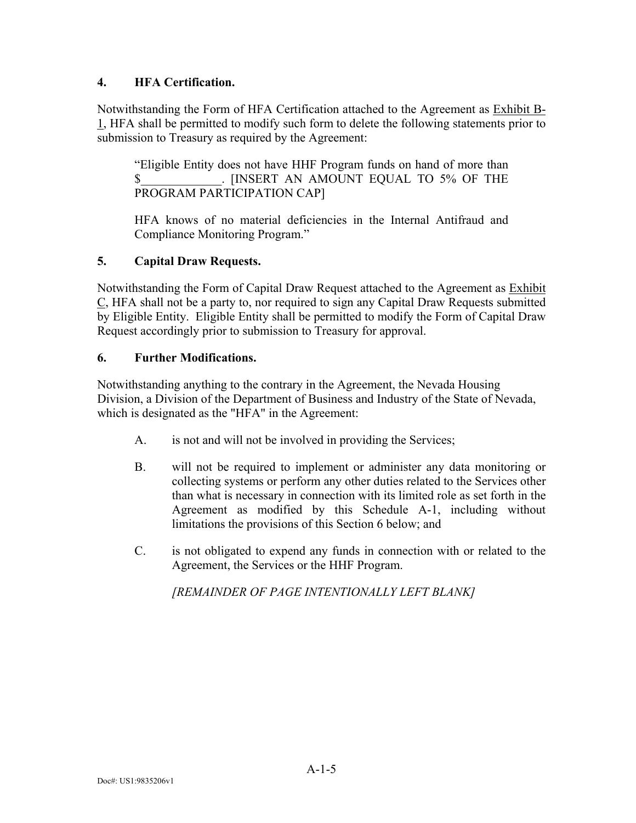## **4. HFA Certification.**

Notwithstanding the Form of HFA Certification attached to the Agreement as Exhibit B-1, HFA shall be permitted to modify such form to delete the following statements prior to submission to Treasury as required by the Agreement:

"Eligible Entity does not have HHF Program funds on hand of more than \$\_\_\_\_\_\_\_\_\_\_\_\_\_. [INSERT AN AMOUNT EQUAL TO 5% OF THE PROGRAM PARTICIPATION CAP]

HFA knows of no material deficiencies in the Internal Antifraud and Compliance Monitoring Program."

# **5. Capital Draw Requests.**

Notwithstanding the Form of Capital Draw Request attached to the Agreement as Exhibit C, HFA shall not be a party to, nor required to sign any Capital Draw Requests submitted by Eligible Entity. Eligible Entity shall be permitted to modify the Form of Capital Draw Request accordingly prior to submission to Treasury for approval.

## **6. Further Modifications.**

Notwithstanding anything to the contrary in the Agreement, the Nevada Housing Division, a Division of the Department of Business and Industry of the State of Nevada, which is designated as the "HFA" in the Agreement:

- A. is not and will not be involved in providing the Services;
- B. will not be required to implement or administer any data monitoring or collecting systems or perform any other duties related to the Services other than what is necessary in connection with its limited role as set forth in the Agreement as modified by this Schedule A-1, including without limitations the provisions of this Section 6 below; and
- C. is not obligated to expend any funds in connection with or related to the Agreement, the Services or the HHF Program.

*[REMAINDER OF PAGE INTENTIONALLY LEFT BLANK]*